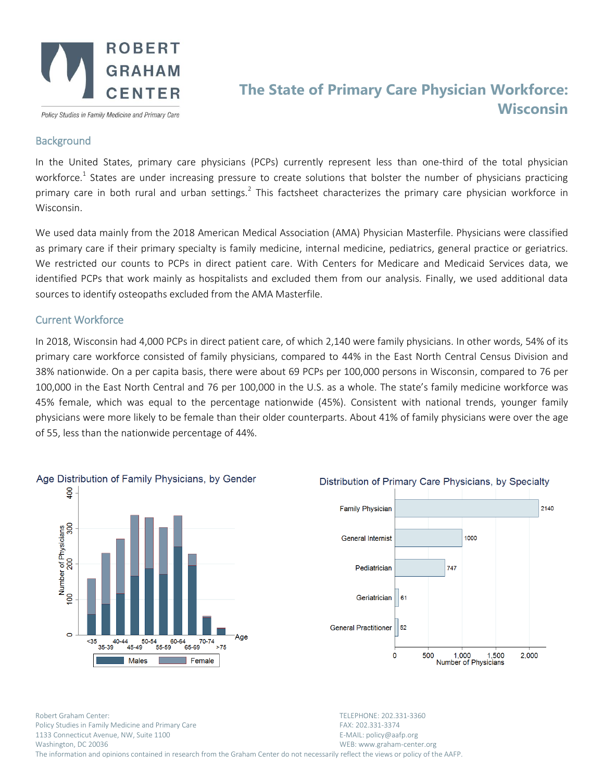

Policy Studies in Family Medicine and Primary Care

# **The State of Primary Care Physician Workforce: Wisconsin**

### **Background**

In the United States, primary care physicians (PCPs) currently represent less than one-third of the total physician workforce.<sup>1</sup> States are under increasing pressure to create solutions that bolster the number of physicians practicing primary care in both rural and urban settings.<sup>2</sup> This factsheet characterizes the primary care physician workforce in Wisconsin.

We used data mainly from the 2018 American Medical Association (AMA) Physician Masterfile. Physicians were classified as primary care if their primary specialty is family medicine, internal medicine, pediatrics, general practice or geriatrics. We restricted our counts to PCPs in direct patient care. With Centers for Medicare and Medicaid Services data, we identified PCPs that work mainly as hospitalists and excluded them from our analysis. Finally, we used additional data sources to identify osteopaths excluded from the AMA Masterfile.

# Current Workforce

In 2018, Wisconsin had 4,000 PCPs in direct patient care, of which 2,140 were family physicians. In other words, 54% of its primary care workforce consisted of family physicians, compared to 44% in the East North Central Census Division and 38% nationwide. On a per capita basis, there were about 69 PCPs per 100,000 persons in Wisconsin, compared to 76 per 100,000 in the East North Central and 76 per 100,000 in the U.S. as a whole. The state's family medicine workforce was 45% female, which was equal to the percentage nationwide (45%). Consistent with national trends, younger family physicians were more likely to be female than their older counterparts. About 41% of family physicians were over the age of 55, less than the nationwide percentage of 44%.



# Distribution of Primary Care Physicians, by Specialty